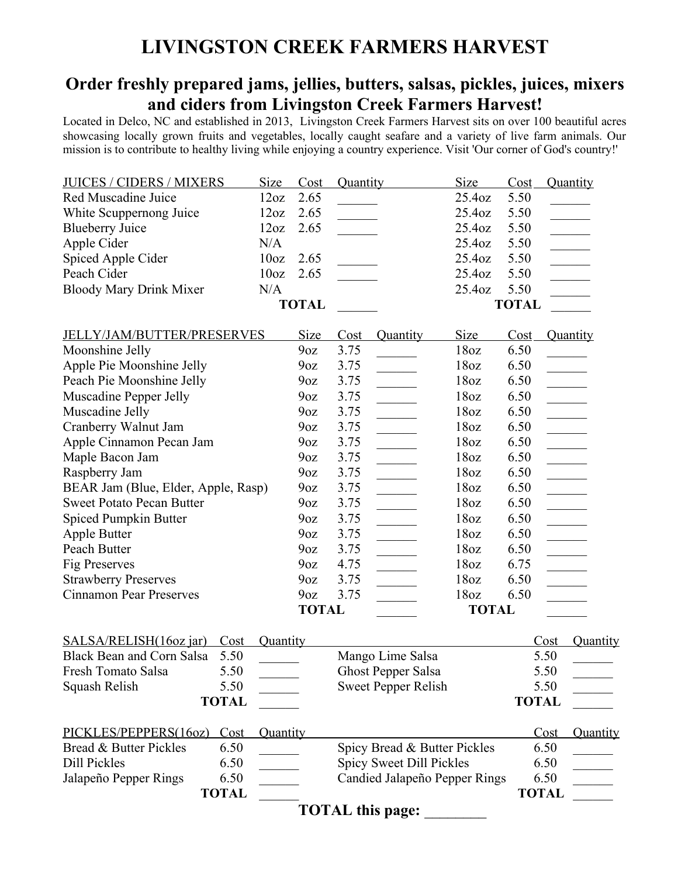## **LIVINGSTON CREEK FARMERS HARVEST**

## **Order freshly prepared jams, jellies, butters, salsas, pickles, juices, mixers and ciders from Livingston Creek Farmers Harvest!**

Located in Delco, NC and established in 2013, Livingston Creek Farmers Harvest sits on over 100 beautiful acres showcasing locally grown fruits and vegetables, locally caught seafare and a variety of live farm animals. Our mission is to contribute to healthy living while enjoying a country experience. Visit 'Our corner of God's country!'

| <b>JUICES / CIDERS / MIXERS</b>          | Size             | Cost            | <b>Quantity</b>          |                                                                                              | Size             | Cost         | Quantity                                                                                                                                       |
|------------------------------------------|------------------|-----------------|--------------------------|----------------------------------------------------------------------------------------------|------------------|--------------|------------------------------------------------------------------------------------------------------------------------------------------------|
| Red Muscadine Juice                      | 12oz             | 2.65            |                          |                                                                                              | 25.4oz           | 5.50         |                                                                                                                                                |
| White Scuppernong Juice                  | 12oz             | 2.65            |                          |                                                                                              | 25.4oz           | 5.50         | $\mathcal{L}^{\text{max}}$ , and $\mathcal{L}^{\text{max}}$                                                                                    |
| <b>Blueberry Juice</b>                   | 12oz             | 2.65            |                          |                                                                                              | 25.4oz           | 5.50         | $\mathcal{L}^{\text{max}}$                                                                                                                     |
| Apple Cider                              | N/A              |                 |                          |                                                                                              | 25.4oz           | 5.50         | $\mathcal{L}^{\text{max}}$                                                                                                                     |
| Spiced Apple Cider                       | 10 <sub>oz</sub> | 2.65            |                          |                                                                                              | 25.4oz           | 5.50         |                                                                                                                                                |
| Peach Cider                              | 10 <sub>oz</sub> | 2.65            |                          |                                                                                              | 25.4oz           | 5.50         |                                                                                                                                                |
| <b>Bloody Mary Drink Mixer</b>           | N/A              |                 |                          |                                                                                              | 25.4oz           | 5.50         |                                                                                                                                                |
|                                          |                  | <b>TOTAL</b>    |                          |                                                                                              |                  | <b>TOTAL</b> |                                                                                                                                                |
| <b>JELLY/JAM/BUTTER/PRESERVES</b>        |                  | Size            | Cost                     | Quantity                                                                                     | <b>Size</b>      | Cost         | Quantity                                                                                                                                       |
| Moonshine Jelly                          |                  | 9 <sub>0Z</sub> | 3.75                     |                                                                                              | 18 <sub>oz</sub> | 6.50         |                                                                                                                                                |
| Apple Pie Moonshine Jelly                |                  | 9 <sub>oz</sub> | 3.75                     |                                                                                              | 18 <sub>oz</sub> | 6.50         | $\mathcal{L}^{\text{max}}_{\text{max}}$ , where $\mathcal{L}^{\text{max}}_{\text{max}}$                                                        |
| Peach Pie Moonshine Jelly                |                  | 9 <sub>0Z</sub> | 3.75                     |                                                                                              | 18 <sub>oz</sub> | 6.50         |                                                                                                                                                |
| Muscadine Pepper Jelly                   |                  | 9 <sub>0Z</sub> | 3.75                     |                                                                                              | 18 <sub>oz</sub> | 6.50         | $\begin{array}{c} \begin{array}{c} \begin{array}{c} \begin{array}{c} \end{array} \\ \end{array} \end{array} \end{array}$                       |
| Muscadine Jelly                          |                  | 9 <sub>0Z</sub> | 3.75                     |                                                                                              | 18 <sub>oz</sub> | 6.50         | $\frac{1}{1}$                                                                                                                                  |
| Cranberry Walnut Jam                     |                  | 9 <sub>0Z</sub> | 3.75                     |                                                                                              | 18 <sub>oz</sub> | 6.50         | $\frac{1}{2}$                                                                                                                                  |
| Apple Cinnamon Pecan Jam                 |                  | 9 <sub>0Z</sub> | 3.75                     |                                                                                              | 18oz             | 6.50         | $\overline{\phantom{a}}$                                                                                                                       |
| Maple Bacon Jam                          |                  | 9 <sub>0Z</sub> | 3.75                     | $\frac{1}{2}$                                                                                | 18 <sub>oz</sub> | 6.50         | $\overline{\phantom{a}}$                                                                                                                       |
| Raspberry Jam                            |                  | 9 <sub>0Z</sub> | 3.75                     |                                                                                              | 18 <sub>oz</sub> | 6.50         | $\begin{array}{c} \begin{array}{c} \hline \end{array} & \begin{array}{c} \hline \end{array} & \begin{array}{c} \hline \end{array} \end{array}$ |
| BEAR Jam (Blue, Elder, Apple, Rasp)      |                  | 9 <sub>0Z</sub> | 3.75                     |                                                                                              | 18 <sub>oz</sub> | 6.50         | $\overline{\phantom{a}}$                                                                                                                       |
| <b>Sweet Potato Pecan Butter</b>         |                  | 9 <sub>0Z</sub> | 3.75                     |                                                                                              | 18 <sub>oz</sub> | 6.50         |                                                                                                                                                |
| Spiced Pumpkin Butter                    |                  | 9 <sub>oz</sub> | 3.75                     | $\mathcal{L}^{\text{max}}_{\text{max}}$ . The set of $\mathcal{L}^{\text{max}}_{\text{max}}$ | 18 <sub>oz</sub> | 6.50         |                                                                                                                                                |
| Apple Butter                             |                  | 9 <sub>0Z</sub> | 3.75                     | $\frac{1}{2}$                                                                                | 18oz             | 6.50         |                                                                                                                                                |
| Peach Butter                             |                  | 9 <sub>0Z</sub> | 3.75                     | $\frac{1}{2}$                                                                                | 18 <sub>oz</sub> | 6.50         | $\overline{\phantom{a}}$                                                                                                                       |
| Fig Preserves                            |                  | 9 <sub>0Z</sub> | 4.75                     |                                                                                              | 18 <sub>oz</sub> | 6.75         | $\overline{\phantom{a}}$                                                                                                                       |
| <b>Strawberry Preserves</b>              |                  | 9 <sub>0Z</sub> | 3.75                     |                                                                                              | 18oz             | 6.50         |                                                                                                                                                |
| <b>Cinnamon Pear Preserves</b>           |                  | 9 <sub>0Z</sub> | 3.75                     |                                                                                              | 18oz             | 6.50         | $\mathcal{L}^{\text{max}}_{\text{max}}$                                                                                                        |
|                                          |                  | <b>TOTAL</b>    |                          |                                                                                              | <b>TOTAL</b>     |              |                                                                                                                                                |
| SALSA/RELISH(16oz jar)<br>Cost           | Quantity         |                 |                          |                                                                                              |                  | Cost         | Quantity                                                                                                                                       |
| <b>Black Bean and Corn Salsa</b><br>5.50 |                  |                 |                          | Mango Lime Salsa                                                                             |                  | 5.50         |                                                                                                                                                |
| 5.50<br>Fresh Tomato Salsa               |                  |                 |                          | <b>Ghost Pepper Salsa</b>                                                                    |                  | 5.50         |                                                                                                                                                |
| Squash Relish<br>5.50                    |                  |                 |                          | <b>Sweet Pepper Relish</b>                                                                   |                  | 5.50         |                                                                                                                                                |
| <b>TOTAL</b>                             |                  |                 |                          |                                                                                              |                  | <b>TOTAL</b> |                                                                                                                                                |
| PICKLES/PEPPERS(16oz)<br>Cost            | Quantity         |                 |                          |                                                                                              |                  | Cost         | Quantity                                                                                                                                       |
| Bread & Butter Pickles<br>6.50           |                  |                 |                          | Spicy Bread & Butter Pickles                                                                 |                  | 6.50         |                                                                                                                                                |
| Dill Pickles<br>6.50                     |                  |                 | Spicy Sweet Dill Pickles |                                                                                              |                  | 6.50         |                                                                                                                                                |
| Jalapeño Pepper Rings<br>6.50            |                  |                 |                          | Candied Jalapeño Pepper Rings                                                                |                  | 6.50         |                                                                                                                                                |
| <b>TOTAL</b>                             |                  |                 |                          |                                                                                              |                  | <b>TOTAL</b> |                                                                                                                                                |
|                                          |                  |                 |                          | <b>TOTAL</b> this page:                                                                      |                  |              |                                                                                                                                                |